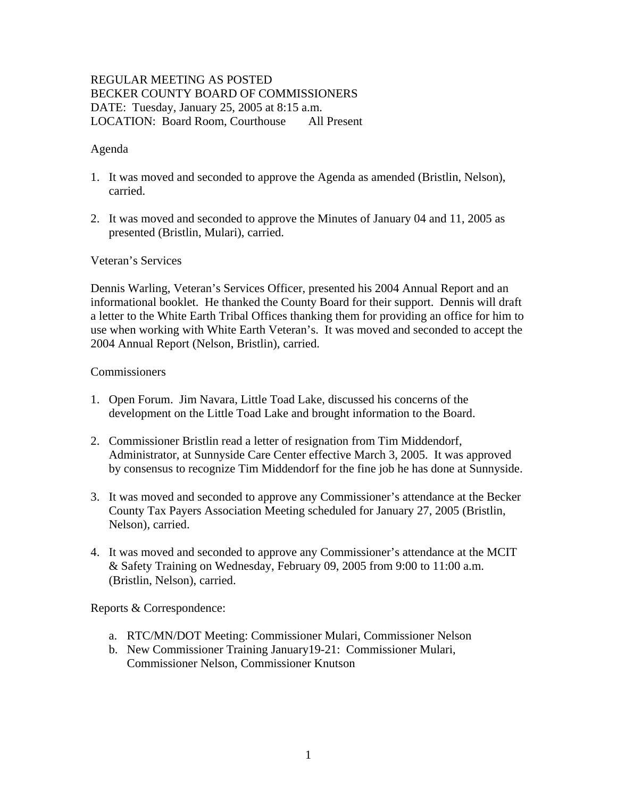# REGULAR MEETING AS POSTED BECKER COUNTY BOARD OF COMMISSIONERS DATE: Tuesday, January 25, 2005 at 8:15 a.m. LOCATION: Board Room, Courthouse All Present

### Agenda

- 1. It was moved and seconded to approve the Agenda as amended (Bristlin, Nelson), carried.
- 2. It was moved and seconded to approve the Minutes of January 04 and 11, 2005 as presented (Bristlin, Mulari), carried.

### Veteran's Services

Dennis Warling, Veteran's Services Officer, presented his 2004 Annual Report and an informational booklet. He thanked the County Board for their support. Dennis will draft a letter to the White Earth Tribal Offices thanking them for providing an office for him to use when working with White Earth Veteran's. It was moved and seconded to accept the 2004 Annual Report (Nelson, Bristlin), carried.

#### Commissioners

- 1. Open Forum. Jim Navara, Little Toad Lake, discussed his concerns of the development on the Little Toad Lake and brought information to the Board.
- 2. Commissioner Bristlin read a letter of resignation from Tim Middendorf, Administrator, at Sunnyside Care Center effective March 3, 2005. It was approved by consensus to recognize Tim Middendorf for the fine job he has done at Sunnyside.
- 3. It was moved and seconded to approve any Commissioner's attendance at the Becker County Tax Payers Association Meeting scheduled for January 27, 2005 (Bristlin, Nelson), carried.
- 4. It was moved and seconded to approve any Commissioner's attendance at the MCIT & Safety Training on Wednesday, February 09, 2005 from 9:00 to 11:00 a.m. (Bristlin, Nelson), carried.

Reports & Correspondence:

- a. RTC/MN/DOT Meeting: Commissioner Mulari, Commissioner Nelson
- b. New Commissioner Training January19-21: Commissioner Mulari, Commissioner Nelson, Commissioner Knutson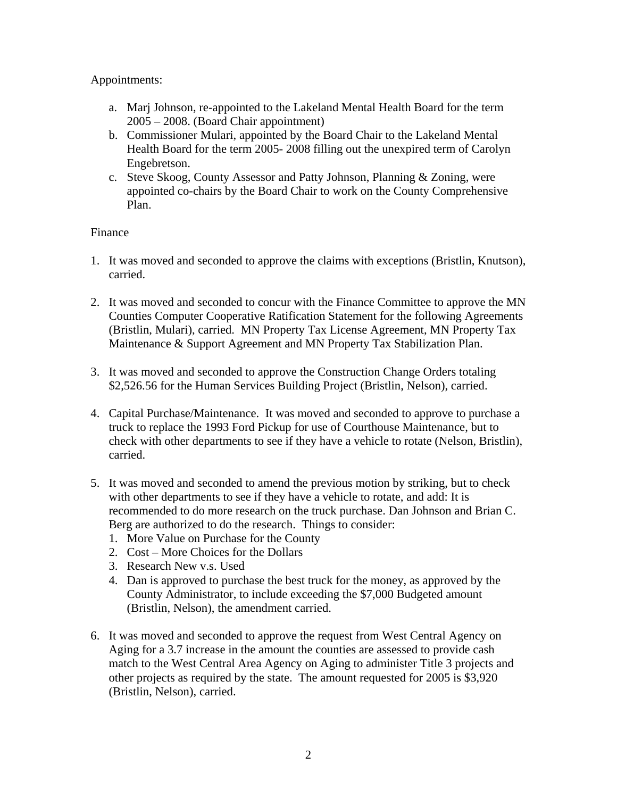### Appointments:

- a. Marj Johnson, re-appointed to the Lakeland Mental Health Board for the term 2005 – 2008. (Board Chair appointment)
- b. Commissioner Mulari, appointed by the Board Chair to the Lakeland Mental Health Board for the term 2005- 2008 filling out the unexpired term of Carolyn Engebretson.
- c. Steve Skoog, County Assessor and Patty Johnson, Planning & Zoning, were appointed co-chairs by the Board Chair to work on the County Comprehensive Plan.

### Finance

- 1. It was moved and seconded to approve the claims with exceptions (Bristlin, Knutson), carried.
- 2. It was moved and seconded to concur with the Finance Committee to approve the MN Counties Computer Cooperative Ratification Statement for the following Agreements (Bristlin, Mulari), carried. MN Property Tax License Agreement, MN Property Tax Maintenance & Support Agreement and MN Property Tax Stabilization Plan.
- 3. It was moved and seconded to approve the Construction Change Orders totaling \$2,526.56 for the Human Services Building Project (Bristlin, Nelson), carried.
- 4. Capital Purchase/Maintenance. It was moved and seconded to approve to purchase a truck to replace the 1993 Ford Pickup for use of Courthouse Maintenance, but to check with other departments to see if they have a vehicle to rotate (Nelson, Bristlin), carried.
- 5. It was moved and seconded to amend the previous motion by striking, but to check with other departments to see if they have a vehicle to rotate, and add: It is recommended to do more research on the truck purchase. Dan Johnson and Brian C. Berg are authorized to do the research. Things to consider:
	- 1. More Value on Purchase for the County
	- 2. Cost More Choices for the Dollars
	- 3. Research New v.s. Used
	- 4. Dan is approved to purchase the best truck for the money, as approved by the County Administrator, to include exceeding the \$7,000 Budgeted amount (Bristlin, Nelson), the amendment carried.
- 6. It was moved and seconded to approve the request from West Central Agency on Aging for a 3.7 increase in the amount the counties are assessed to provide cash match to the West Central Area Agency on Aging to administer Title 3 projects and other projects as required by the state. The amount requested for 2005 is \$3,920 (Bristlin, Nelson), carried.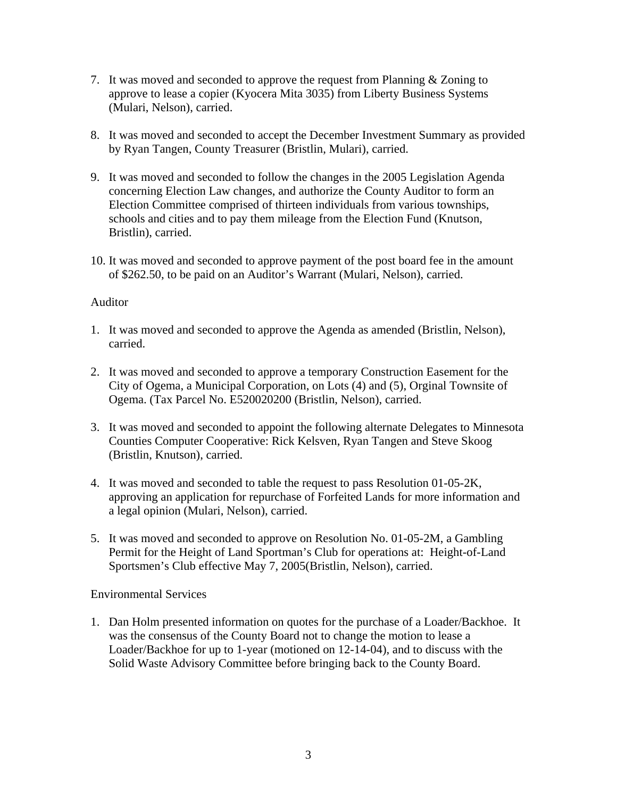- 7. It was moved and seconded to approve the request from Planning & Zoning to approve to lease a copier (Kyocera Mita 3035) from Liberty Business Systems (Mulari, Nelson), carried.
- 8. It was moved and seconded to accept the December Investment Summary as provided by Ryan Tangen, County Treasurer (Bristlin, Mulari), carried.
- 9. It was moved and seconded to follow the changes in the 2005 Legislation Agenda concerning Election Law changes, and authorize the County Auditor to form an Election Committee comprised of thirteen individuals from various townships, schools and cities and to pay them mileage from the Election Fund (Knutson, Bristlin), carried.
- 10. It was moved and seconded to approve payment of the post board fee in the amount of \$262.50, to be paid on an Auditor's Warrant (Mulari, Nelson), carried.

### Auditor

- 1. It was moved and seconded to approve the Agenda as amended (Bristlin, Nelson), carried.
- 2. It was moved and seconded to approve a temporary Construction Easement for the City of Ogema, a Municipal Corporation, on Lots (4) and (5), Orginal Townsite of Ogema. (Tax Parcel No. E520020200 (Bristlin, Nelson), carried.
- 3. It was moved and seconded to appoint the following alternate Delegates to Minnesota Counties Computer Cooperative: Rick Kelsven, Ryan Tangen and Steve Skoog (Bristlin, Knutson), carried.
- 4. It was moved and seconded to table the request to pass Resolution 01-05-2K, approving an application for repurchase of Forfeited Lands for more information and a legal opinion (Mulari, Nelson), carried.
- 5. It was moved and seconded to approve on Resolution No. 01-05-2M, a Gambling Permit for the Height of Land Sportman's Club for operations at: Height-of-Land Sportsmen's Club effective May 7, 2005(Bristlin, Nelson), carried.

## Environmental Services

1. Dan Holm presented information on quotes for the purchase of a Loader/Backhoe. It was the consensus of the County Board not to change the motion to lease a Loader/Backhoe for up to 1-year (motioned on 12-14-04), and to discuss with the Solid Waste Advisory Committee before bringing back to the County Board.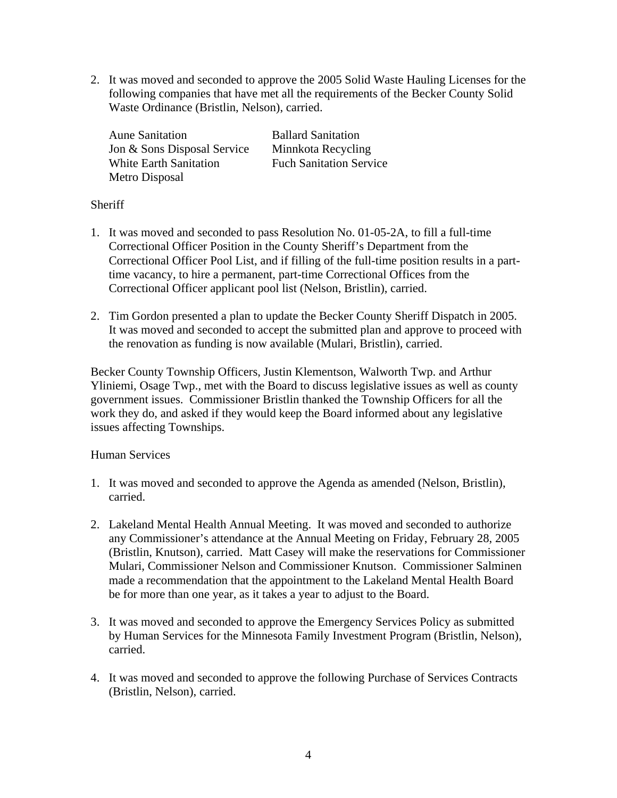2. It was moved and seconded to approve the 2005 Solid Waste Hauling Licenses for the following companies that have met all the requirements of the Becker County Solid Waste Ordinance (Bristlin, Nelson), carried.

Aune Sanitation **Ballard Sanitation** Jon & Sons Disposal Service Minnkota Recycling White Earth Sanitation<br>
Fuch Sanitation Service Metro Disposal

## **Sheriff**

- 1. It was moved and seconded to pass Resolution No. 01-05-2A, to fill a full-time Correctional Officer Position in the County Sheriff's Department from the Correctional Officer Pool List, and if filling of the full-time position results in a parttime vacancy, to hire a permanent, part-time Correctional Offices from the Correctional Officer applicant pool list (Nelson, Bristlin), carried.
- 2. Tim Gordon presented a plan to update the Becker County Sheriff Dispatch in 2005. It was moved and seconded to accept the submitted plan and approve to proceed with the renovation as funding is now available (Mulari, Bristlin), carried.

Becker County Township Officers, Justin Klementson, Walworth Twp. and Arthur Yliniemi, Osage Twp., met with the Board to discuss legislative issues as well as county government issues. Commissioner Bristlin thanked the Township Officers for all the work they do, and asked if they would keep the Board informed about any legislative issues affecting Townships.

## Human Services

- 1. It was moved and seconded to approve the Agenda as amended (Nelson, Bristlin), carried.
- 2. Lakeland Mental Health Annual Meeting. It was moved and seconded to authorize any Commissioner's attendance at the Annual Meeting on Friday, February 28, 2005 (Bristlin, Knutson), carried. Matt Casey will make the reservations for Commissioner Mulari, Commissioner Nelson and Commissioner Knutson. Commissioner Salminen made a recommendation that the appointment to the Lakeland Mental Health Board be for more than one year, as it takes a year to adjust to the Board.
- 3. It was moved and seconded to approve the Emergency Services Policy as submitted by Human Services for the Minnesota Family Investment Program (Bristlin, Nelson), carried.
- 4. It was moved and seconded to approve the following Purchase of Services Contracts (Bristlin, Nelson), carried.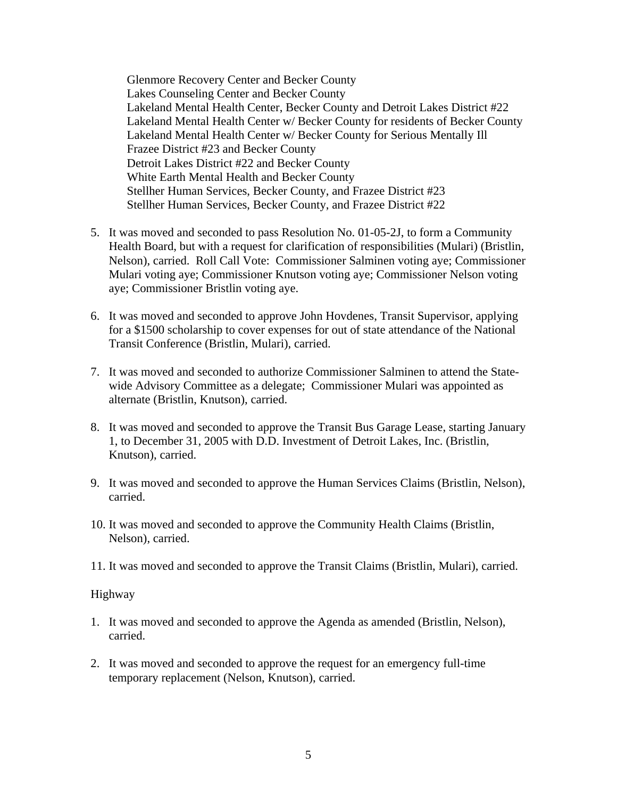Glenmore Recovery Center and Becker County Lakes Counseling Center and Becker County Lakeland Mental Health Center, Becker County and Detroit Lakes District #22 Lakeland Mental Health Center w/ Becker County for residents of Becker County Lakeland Mental Health Center w/ Becker County for Serious Mentally Ill Frazee District #23 and Becker County Detroit Lakes District #22 and Becker County White Earth Mental Health and Becker County Stellher Human Services, Becker County, and Frazee District #23 Stellher Human Services, Becker County, and Frazee District #22

- 5. It was moved and seconded to pass Resolution No. 01-05-2J, to form a Community Health Board, but with a request for clarification of responsibilities (Mulari) (Bristlin, Nelson), carried. Roll Call Vote: Commissioner Salminen voting aye; Commissioner Mulari voting aye; Commissioner Knutson voting aye; Commissioner Nelson voting aye; Commissioner Bristlin voting aye.
- 6. It was moved and seconded to approve John Hovdenes, Transit Supervisor, applying for a \$1500 scholarship to cover expenses for out of state attendance of the National Transit Conference (Bristlin, Mulari), carried.
- 7. It was moved and seconded to authorize Commissioner Salminen to attend the Statewide Advisory Committee as a delegate; Commissioner Mulari was appointed as alternate (Bristlin, Knutson), carried.
- 8. It was moved and seconded to approve the Transit Bus Garage Lease, starting January 1, to December 31, 2005 with D.D. Investment of Detroit Lakes, Inc. (Bristlin, Knutson), carried.
- 9. It was moved and seconded to approve the Human Services Claims (Bristlin, Nelson), carried.
- 10. It was moved and seconded to approve the Community Health Claims (Bristlin, Nelson), carried.
- 11. It was moved and seconded to approve the Transit Claims (Bristlin, Mulari), carried.

#### Highway

- 1. It was moved and seconded to approve the Agenda as amended (Bristlin, Nelson), carried.
- 2. It was moved and seconded to approve the request for an emergency full-time temporary replacement (Nelson, Knutson), carried.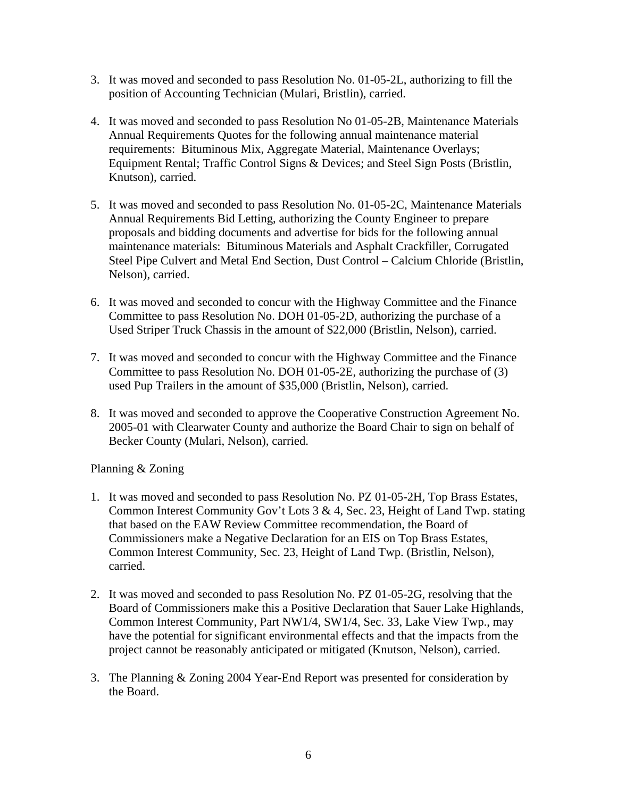- 3. It was moved and seconded to pass Resolution No. 01-05-2L, authorizing to fill the position of Accounting Technician (Mulari, Bristlin), carried.
- 4. It was moved and seconded to pass Resolution No 01-05-2B, Maintenance Materials Annual Requirements Quotes for the following annual maintenance material requirements: Bituminous Mix, Aggregate Material, Maintenance Overlays; Equipment Rental; Traffic Control Signs & Devices; and Steel Sign Posts (Bristlin, Knutson), carried.
- 5. It was moved and seconded to pass Resolution No. 01-05-2C, Maintenance Materials Annual Requirements Bid Letting, authorizing the County Engineer to prepare proposals and bidding documents and advertise for bids for the following annual maintenance materials: Bituminous Materials and Asphalt Crackfiller, Corrugated Steel Pipe Culvert and Metal End Section, Dust Control – Calcium Chloride (Bristlin, Nelson), carried.
- 6. It was moved and seconded to concur with the Highway Committee and the Finance Committee to pass Resolution No. DOH 01-05-2D, authorizing the purchase of a Used Striper Truck Chassis in the amount of \$22,000 (Bristlin, Nelson), carried.
- 7. It was moved and seconded to concur with the Highway Committee and the Finance Committee to pass Resolution No. DOH 01-05-2E, authorizing the purchase of (3) used Pup Trailers in the amount of \$35,000 (Bristlin, Nelson), carried.
- 8. It was moved and seconded to approve the Cooperative Construction Agreement No. 2005-01 with Clearwater County and authorize the Board Chair to sign on behalf of Becker County (Mulari, Nelson), carried.

## Planning & Zoning

- 1. It was moved and seconded to pass Resolution No. PZ 01-05-2H, Top Brass Estates, Common Interest Community Gov't Lots 3 & 4, Sec. 23, Height of Land Twp. stating that based on the EAW Review Committee recommendation, the Board of Commissioners make a Negative Declaration for an EIS on Top Brass Estates, Common Interest Community, Sec. 23, Height of Land Twp. (Bristlin, Nelson), carried.
- 2. It was moved and seconded to pass Resolution No. PZ 01-05-2G, resolving that the Board of Commissioners make this a Positive Declaration that Sauer Lake Highlands, Common Interest Community, Part NW1/4, SW1/4, Sec. 33, Lake View Twp., may have the potential for significant environmental effects and that the impacts from the project cannot be reasonably anticipated or mitigated (Knutson, Nelson), carried.
- 3. The Planning & Zoning 2004 Year-End Report was presented for consideration by the Board.